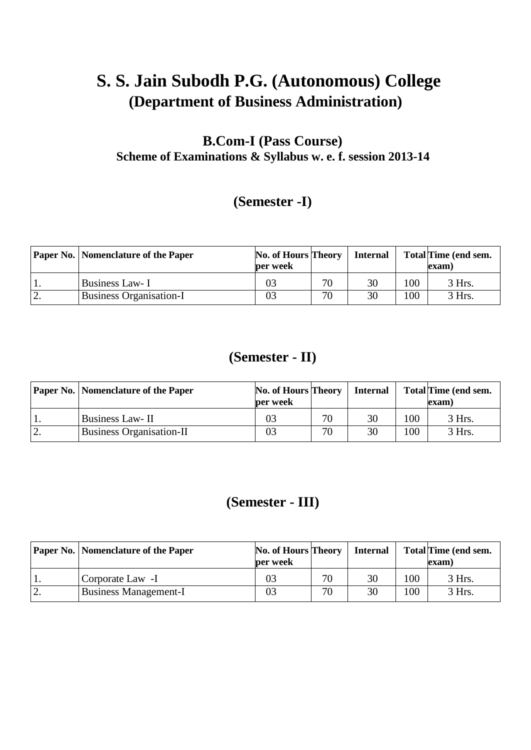# **S. S. Jain Subodh P.G. (Autonomous) College (Department of Business Administration)**

# **B.Com-I (Pass Course) Scheme of Examinations & Syllabus w. e. f. session 2013-14**

# **(Semester -I)**

|    | <b>Paper No.   Nomenclature of the Paper</b> | No. of Hours Theory<br>per week |    | <b>Internal</b> |     | Total Time (end sem.<br>exam) |
|----|----------------------------------------------|---------------------------------|----|-----------------|-----|-------------------------------|
|    | Business Law- I                              | 03                              | 70 | 30              | 100 | 3 Hrs.                        |
| ٠. | <b>Business Organisation-I</b>               | 03                              | 70 | 30              | 100 | 3 Hrs.                        |

# **(Semester - II)**

|          | <b>Paper No.   Nomenclature of the Paper</b> | No. of Hours Theory<br>per week |    | Internal |     | Total Time (end sem.<br>(exam |
|----------|----------------------------------------------|---------------------------------|----|----------|-----|-------------------------------|
|          | <b>Business Law-II</b>                       | 03                              | 70 | 30       | 100 | 3 Hrs.                        |
| <u>.</u> | <b>Business Organisation-II</b>              | 03                              | 70 | 30       | 100 | 3 Hrs.                        |

# **(Semester - III)**

|    | <b>Paper No.   Nomenclature of the Paper</b> | No. of Hours Theory<br>per week |    | <b>Internal</b> |     | <b>Total Time (end sem.</b><br>exam) |
|----|----------------------------------------------|---------------------------------|----|-----------------|-----|--------------------------------------|
|    | Corporate Law -I                             | 03                              | 70 | 30              | 100 | 3 Hrs.                               |
| ٠. | <b>Business Management-I</b>                 | 03                              | 70 | 30              | 100 | $3$ Hrs.                             |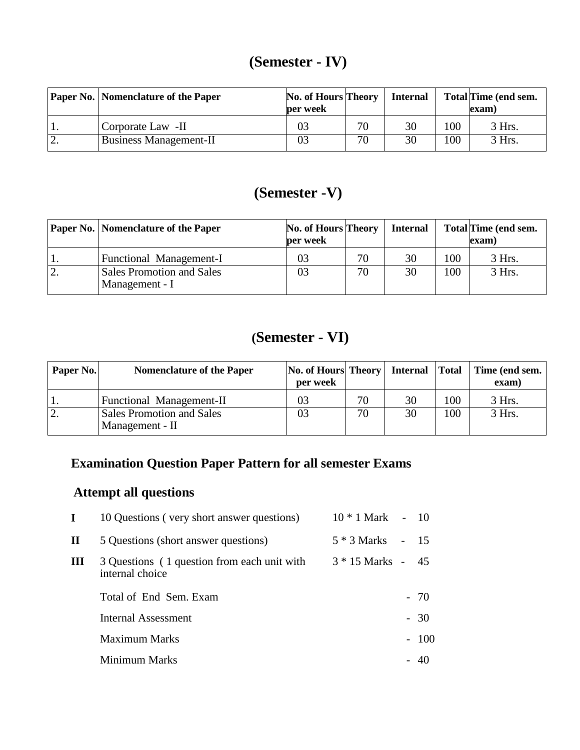# **(Semester - IV)**

| <b>Paper No.</b> Nomenclature of the Paper | No. of Hours Theory<br>per week |    | <b>Internal</b> |     | Total Time (end sem.<br>exam) |
|--------------------------------------------|---------------------------------|----|-----------------|-----|-------------------------------|
| Corporate Law -II                          | 03                              | 70 | 30              | 100 | 3 Hrs.                        |
| <b>Business Management-II</b>              | 03                              | 70 | 30              | 100 | 3 Hrs.                        |

# **(Semester -V)**

|            | <b>Paper No.   Nomenclature of the Paper</b>       | No. of Hours Theory<br>per week |    | <b>Internal</b> |     | Total Time (end sem.<br>(exam |
|------------|----------------------------------------------------|---------------------------------|----|-----------------|-----|-------------------------------|
|            | Functional Management-I                            | 03                              | 70 | 30              | 100 | 3 Hrs.                        |
| $\cdot$ 2. | <b>Sales Promotion and Sales</b><br>Management - I | 03                              | 70 | 30              | 100 | 3 Hrs.                        |

# **(Semester - VI)**

| Paper No.  | <b>Nomenclature of the Paper</b>                    | No. of Hours Theory Internal<br>per week |    |    | <b>Total</b> | Time (end sem.<br>exam) |
|------------|-----------------------------------------------------|------------------------------------------|----|----|--------------|-------------------------|
|            | Functional Management-II                            | 03                                       | 70 | 30 | 100          | 3 Hrs.                  |
| $\cdot$ 2. | <b>Sales Promotion and Sales</b><br>Management - II | 03                                       | 70 | 30 | 100          | 3 Hrs.                  |

# **Examination Question Paper Pattern for all semester Exams**

# **Attempt all questions**

| L | 10 Questions (very short answer questions)                     | $10 * 1$ Mark - 10  |              |
|---|----------------------------------------------------------------|---------------------|--------------|
| П | 5 Questions (short answer questions)                           | 5 * 3 Marks         | $-15$        |
| Ш | 3 Questions (1 question from each unit with<br>internal choice | $3 * 15$ Marks - 45 |              |
|   | Total of End Sem. Exam                                         |                     | $-70$        |
|   | Internal Assessment                                            |                     | $-30$        |
|   | Maximum Marks                                                  |                     | $-100$       |
|   | Minimum Marks                                                  |                     | $40^{\circ}$ |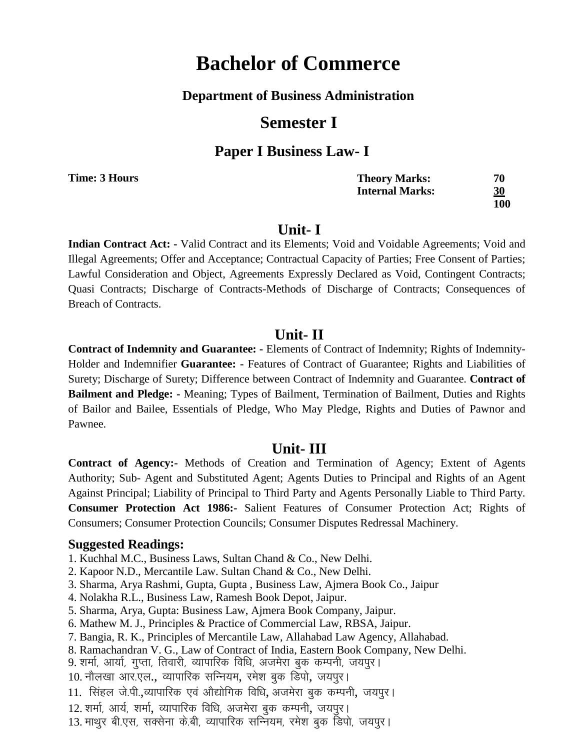### **Department of Business Administration**

# **Semester I**

### **Paper I Business Law- I**

**Time: 3 Hours**

| <b>Theory Marks:</b>   | 70        |
|------------------------|-----------|
| <b>Internal Marks:</b> | <u>30</u> |
|                        | 100       |

## **Unit- I**

**Indian Contract Act: -** Valid Contract and its Elements; Void and Voidable Agreements; Void and Illegal Agreements; Offer and Acceptance; Contractual Capacity of Parties; Free Consent of Parties; Lawful Consideration and Object, Agreements Expressly Declared as Void, Contingent Contracts; Quasi Contracts; Discharge of Contracts-Methods of Discharge of Contracts; Consequences of Breach of Contracts.

## **Unit- II**

**Contract of Indemnity and Guarantee: -** Elements of Contract of Indemnity; Rights of Indemnity-Holder and Indemnifier **Guarantee: -** Features of Contract of Guarantee; Rights and Liabilities of Surety; Discharge of Surety; Difference between Contract of Indemnity and Guarantee. **Contract of Bailment and Pledge: -** Meaning; Types of Bailment, Termination of Bailment, Duties and Rights of Bailor and Bailee, Essentials of Pledge, Who May Pledge, Rights and Duties of Pawnor and Pawnee.

## **Unit- III**

**Contract of Agency:-** Methods of Creation and Termination of Agency; Extent of Agents Authority; Sub- Agent and Substituted Agent; Agents Duties to Principal and Rights of an Agent Against Principal; Liability of Principal to Third Party and Agents Personally Liable to Third Party. **Consumer Protection Act 1986:-** Salient Features of Consumer Protection Act; Rights of Consumers; Consumer Protection Councils; Consumer Disputes Redressal Machinery.

- 1. Kuchhal M.C., Business Laws, Sultan Chand & Co., New Delhi.
- 2. Kapoor N.D., Mercantile Law. Sultan Chand & Co., New Delhi.
- 3. Sharma, Arya Rashmi, Gupta, Gupta , Business Law, Ajmera Book Co., Jaipur
- 4. Nolakha R.L., Business Law, Ramesh Book Depot, Jaipur.
- 5. Sharma, Arya, Gupta: Business Law, Ajmera Book Company, Jaipur.
- 6. Mathew M. J., Principles & Practice of Commercial Law, RBSA, Jaipur.
- 7. Bangia, R. K., Principles of Mercantile Law, Allahabad Law Agency, Allahabad.
- 8. Ramachandran V. G., Law of Contract of India, Eastern Book Company, New Delhi.
- 9. शर्मा, आर्या, गुप्ता, तिवारी, व्यापारिक विधि, अजमेरा बुक कम्पनी, जयपूर।
- 10. नौलखा आर.एल., व्यापारिक सन्नियम, रमेश बुक डिपो, जयपूर।
- 11. सिंहल जे.पी.,व्यापारिक एवं ओद्योगिक विधि, अजमेरा बुक कम्पनी, जयपुर।
- 12. शर्मा, आर्य, शर्मा, व्यापारिक विधि, अजमेरा बुक कम्पनी, जयपूर।
- 13. माथुर बी.एस, सक्सेना के.बी, व्यापारिक सन्नियम, रमेश बुक डिपो, जयपुर।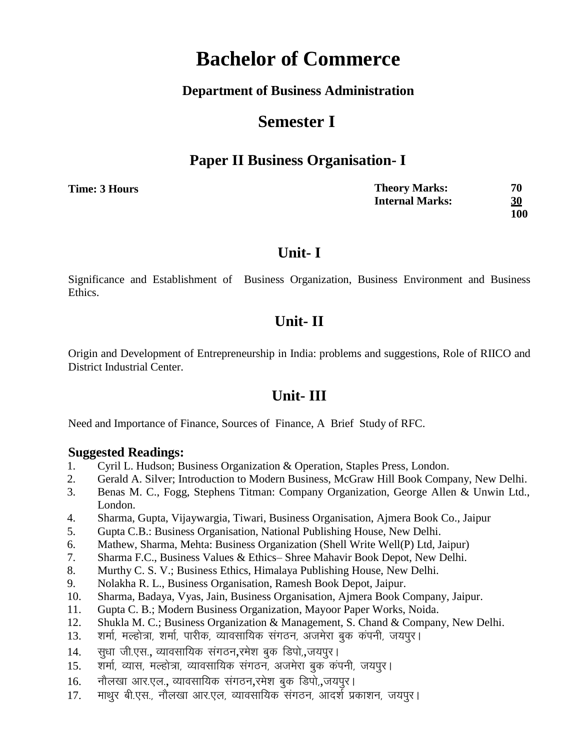### **Department of Business Administration**

# **Semester I**

## **Paper II Business Organisation- I**

**Time: 3 Hours** 

**Theory Marks: 70 Internal Marks: 30 100**

## **Unit- I**

Significance and Establishment of Business Organization, Business Environment and Business Ethics.

# **Unit- II**

Origin and Development of Entrepreneurship in India: problems and suggestions, Role of RIICO and District Industrial Center.

# **Unit- III**

Need and Importance of Finance, Sources of Finance, A Brief Study of RFC.

- 1. Cyril L. Hudson; Business Organization & Operation, Staples Press, London.
- 2. Gerald A. Silver; Introduction to Modern Business, McGraw Hill Book Company, New Delhi.
- 3. Benas M. C., Fogg, Stephens Titman: Company Organization, George Allen & Unwin Ltd., London.
- 4. Sharma, Gupta, Vijaywargia, Tiwari, Business Organisation, Ajmera Book Co., Jaipur
- 5. Gupta C.B.: Business Organisation, National Publishing House, New Delhi.
- 6. Mathew, Sharma, Mehta: Business Organization (Shell Write Well(P) Ltd, Jaipur)
- 7. Sharma F.C., Business Values & Ethics– Shree Mahavir Book Depot, New Delhi.
- 8. Murthy C. S. V.; Business Ethics, Himalaya Publishing House, New Delhi.
- 9. Nolakha R. L., Business Organisation, Ramesh Book Depot, Jaipur.
- 10. Sharma, Badaya, Vyas, Jain, Business Organisation, Ajmera Book Company, Jaipur.
- 11. Gupta C. B.; Modern Business Organization, Mayoor Paper Works, Noida.
- 12. Shukla M. C.; Business Organization & Management, S. Chand & Company, New Delhi.
- 13. शर्मा, मल्होत्रा, शर्मा, पारीक, व्यावसायिक संगठन, अजमेरा बुक कंपनी, जयपुर।
- 14. सुधा जी.एस., व्यावसायिक संगठन,रमेश बुक डिपो,,जयपुर।
- 15. शर्मा, व्यास, मल्होत्रा, व्यावसायिक संगठन, अजमेरा बुक कंपनी, जयपूर।
- 16. नौलखा आर.एल., व्यावसायिक संगठन,रमेश बुक डिपो,,जयपूर।
- 17. माथुर बी.एस., नौलखा आर.एल, व्यावसायिक संगठन, आदर्श प्रकाशन, जयपुर।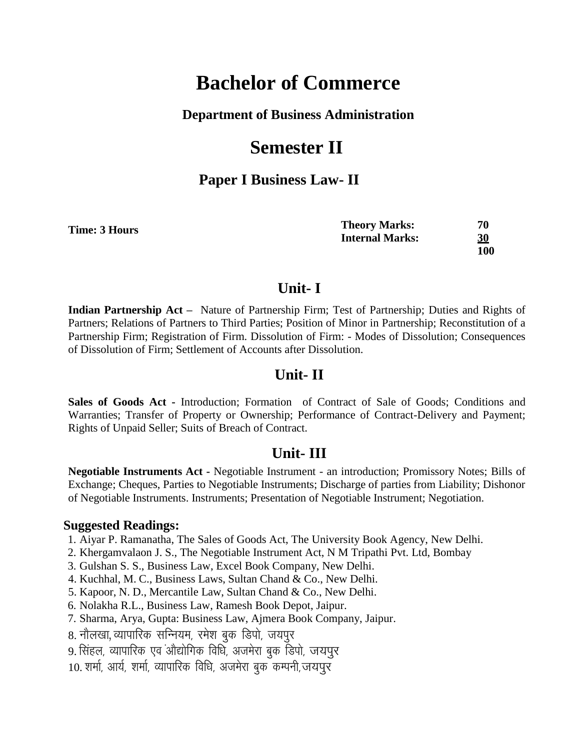#### **Department of Business Administration**

# **Semester II**

### **Paper I Business Law- II**

| Time: 3 Hours | <b>Theory Marks:</b>   | 70  |
|---------------|------------------------|-----|
|               | <b>Internal Marks:</b> | 30  |
|               |                        | 100 |

### **Unit- I**

**Indian Partnership Act –** Nature of Partnership Firm; Test of Partnership; Duties and Rights of Partners; Relations of Partners to Third Parties; Position of Minor in Partnership; Reconstitution of a Partnership Firm; Registration of Firm. Dissolution of Firm: - Modes of Dissolution; Consequences of Dissolution of Firm; Settlement of Accounts after Dissolution.

#### **Unit- II**

**Sales of Goods Act -** Introduction; Formation of Contract of Sale of Goods; Conditions and Warranties; Transfer of Property or Ownership; Performance of Contract-Delivery and Payment; Rights of Unpaid Seller; Suits of Breach of Contract.

#### **Unit- III**

**Negotiable Instruments Act -** Negotiable Instrument - an introduction; Promissory Notes; Bills of Exchange; Cheques, Parties to Negotiable Instruments; Discharge of parties from Liability; Dishonor of Negotiable Instruments. Instruments; Presentation of Negotiable Instrument; Negotiation.

- 1. Aiyar P. Ramanatha, The Sales of Goods Act, The University Book Agency, New Delhi.
- 2. Khergamvalaon J. S., The Negotiable Instrument Act, N M Tripathi Pvt. Ltd, Bombay
- 3. Gulshan S. S., Business Law, Excel Book Company, New Delhi.
- 4. Kuchhal, M. C., Business Laws, Sultan Chand & Co., New Delhi.
- 5. Kapoor, N. D., Mercantile Law, Sultan Chand & Co., New Delhi.
- 6. Nolakha R.L., Business Law, Ramesh Book Depot, Jaipur.
- 7. Sharma, Arya, Gupta: Business Law, Ajmera Book Company, Jaipur.
- 8. नौलखा, व्यापारिक सन्नियम, रमेश बुक डिपो, जयपूर
- 9. सिंहल, व्यापारिक एवं औद्योगिक विधि, अजमेरा बुक डिपो, जयपूर
- 10. शर्मा, आर्य, शर्मा, व्यापारिक विधि, अजमेरा बक कम्पनी,जयपुर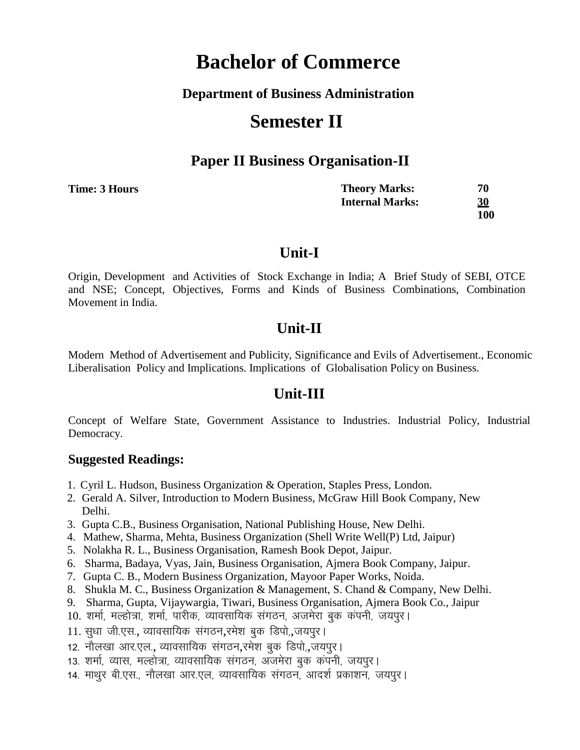#### **Department of Business Administration**

# **Semester II**

### **Paper II Business Organisation-II**

| Time: 3 Hours | <b>Theory Marks:</b>   | 70        |
|---------------|------------------------|-----------|
|               | <b>Internal Marks:</b> | <u>30</u> |
|               |                        | 100       |

### **Unit-I**

Origin, Development and Activities of Stock Exchange in India; A Brief Study of SEBI, OTCE and NSE; Concept, Objectives, Forms and Kinds of Business Combinations, Combination Movement in India.

### **Unit-II**

Modern Method of Advertisement and Publicity, Significance and Evils of Advertisement., Economic Liberalisation Policy and Implications. Implications of Globalisation Policy on Business.

## **Unit-III**

Concept of Welfare State, Government Assistance to Industries. Industrial Policy, Industrial Democracy.

- 1. Cyril L. Hudson, Business Organization & Operation, Staples Press, London.
- 2. Gerald A. Silver, Introduction to Modern Business, McGraw Hill Book Company, New Delhi.
- 3. Gupta C.B., Business Organisation, National Publishing House, New Delhi.
- 4. Mathew, Sharma, Mehta, Business Organization (Shell Write Well(P) Ltd, Jaipur)
- 5. Nolakha R. L., Business Organisation, Ramesh Book Depot, Jaipur.
- 6. Sharma, Badaya, Vyas, Jain, Business Organisation, Ajmera Book Company, Jaipur.
- 7. Gupta C. B., Modern Business Organization, Mayoor Paper Works, Noida.
- 8. Shukla M. C., Business Organization & Management, S. Chand & Company, New Delhi.
- 9. Sharma, Gupta, Vijaywargia, Tiwari, Business Organisation, Ajmera Book Co., Jaipur
- 10. शर्मा, मल्होत्रा, शर्मा, पारीक, व्यावसायिक संगठन, अजमेरा बक कंपनी, जयपुर।
- 11. सुधा जी.एस., व्यावसायिक संगठन,रमेश बुक डिपो.,जयपुर।
- 12. नौलखा आर.एल., व्यावसायिक संगठन,रमेश बुक डिपो, जयपुर।
- 13. शर्मा, व्यास, मल्होत्रा, व्यावसायिक संगठन, अजमेरा बुक कंपनी, जयपुर।
- 14. माथूर बी.एस., नौलखा आर.एल, व्यावसायिक संगठन, आदर्श प्रकाशन, जयपूर।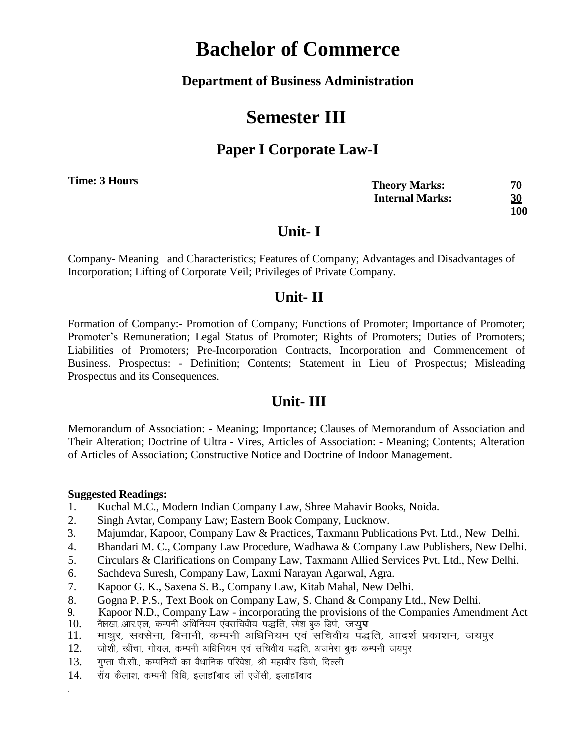**Department of Business Administration**

# **Semester III**

## **Paper I Corporate Law-I**

**Time: 3 Hours**

| <b>Theory Marks:</b>   | 70         |
|------------------------|------------|
| <b>Internal Marks:</b> | <u>30</u>  |
|                        | <b>100</b> |

# **Unit- I**

Company- Meaning and Characteristics; Features of Company; Advantages and Disadvantages of Incorporation; Lifting of Corporate Veil; Privileges of Private Company.

# **Unit- II**

Formation of Company:- Promotion of Company; Functions of Promoter; Importance of Promoter; Promoter's Remuneration; Legal Status of Promoter; Rights of Promoters; Duties of Promoters; Liabilities of Promoters; Pre-Incorporation Contracts, Incorporation and Commencement of Business. Prospectus: - Definition; Contents; Statement in Lieu of Prospectus; Misleading Prospectus and its Consequences.

# **Unit- III**

Memorandum of Association: - Meaning; Importance; Clauses of Memorandum of Association and Their Alteration; Doctrine of Ultra - Vires, Articles of Association: - Meaning; Contents; Alteration of Articles of Association; Constructive Notice and Doctrine of Indoor Management.

#### **Suggested Readings:**

-

- 1. Kuchal M.C., Modern Indian Company Law, Shree Mahavir Books, Noida.
- 2. Singh Avtar, Company Law; Eastern Book Company, Lucknow.
- 3. Majumdar, Kapoor, Company Law & Practices, Taxmann Publications Pvt. Ltd., New Delhi.
- 4. Bhandari M. C., Company Law Procedure, Wadhawa & Company Law Publishers, New Delhi.
- 5. Circulars & Clarifications on Company Law, Taxmann Allied Services Pvt. Ltd., New Delhi.
- 6. Sachdeva Suresh, Company Law, Laxmi Narayan Agarwal, Agra.
- 7. Kapoor G. K., Saxena S. B., Company Law, Kitab Mahal, New Delhi.
- 8. Gogna P. P.S., Text Book on Company Law, S. Chand & Company Ltd., New Delhi.
- 9. Kapoor N.D., Company Law incorporating the provisions of the Companies Amendment Act
- 10. नैलखा, आर.एल, कम्पनी अधिनियम एंवसचिवीय पद्धति, रमेश बुक्र डिपो, जयु**प**<br>11. माथर. सक्सेना. बिनानी. कम्पनी अधिनियम एवं सचिवीय पद्ध
- माथुर, सक्सेना, बिनानी, कम्पनी अधिनियम एवं सचिवीय पद्धति, आदर्श प्रकाशन, जयपूर
- 12. जोशी, खींचा, गोयल, कम्पनी अधिनियम एवं सचिवीय पद्धति, अजमेरा बुक कम्पनी जयपुर
- 13. गुप्ता पी.सी., कम्पनियों का वैधानिक परिवेश, श्री महावीर डिपो, दिल्ली
- 14. गॅय कैलाश, कम्पनी विधि, इलाह1बाद लॉ एजेंसी, इलाह1बाद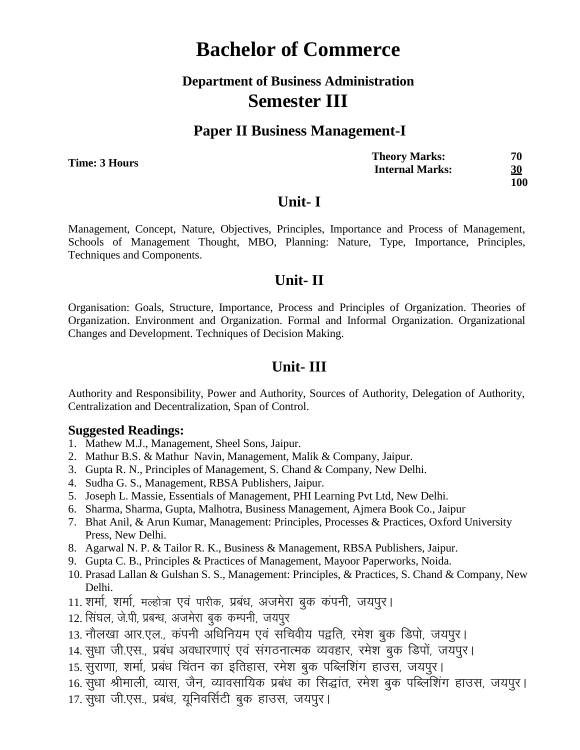# **Department of Business Administration Semester III**

### **Paper II Business Management-I**

**Time: 3 Hours**

| <b>Theory Marks:</b>   | 70  |
|------------------------|-----|
| <b>Internal Marks:</b> | 30  |
|                        | 100 |

#### **Unit- I**

Management, Concept, Nature, Objectives, Principles, Importance and Process of Management, Schools of Management Thought, MBO, Planning: Nature, Type, Importance, Principles, Techniques and Components.

### **Unit- II**

Organisation: Goals, Structure, Importance, Process and Principles of Organization. Theories of Organization. Environment and Organization. Formal and Informal Organization. Organizational Changes and Development. Techniques of Decision Making.

### **Unit- III**

Authority and Responsibility, Power and Authority, Sources of Authority, Delegation of Authority, Centralization and Decentralization, Span of Control.

- 1. Mathew M.J., Management, Sheel Sons, Jaipur.
- 2. Mathur B.S. & Mathur Navin, Management, Malik & Company, Jaipur.
- 3. Gupta R. N., Principles of Management, S. Chand & Company, New Delhi.
- 4. Sudha G. S., Management, RBSA Publishers, Jaipur.
- 5. Joseph L. Massie, Essentials of Management, PHI Learning Pvt Ltd, New Delhi.
- 6. Sharma, Sharma, Gupta, Malhotra, Business Management, Ajmera Book Co., Jaipur
- 7. Bhat Anil, & Arun Kumar, Management: Principles, Processes & Practices, Oxford University Press, New Delhi.
- 8. Agarwal N. P. & Tailor R. K., Business & Management, RBSA Publishers, Jaipur.
- 9. Gupta C. B., Principles & Practices of Management, Mayoor Paperworks, Noida.
- 10. Prasad Lallan & Gulshan S. S., Management: Principles, & Practices, S. Chand & Company, New Delhi.
- 11. शर्मा, शर्मा, मल्होत्रा एवं पारीक, प्रबंध, अजमेरा बुक कंपनी, जयपुर।
- 12. सिंघल, जे.पी, प्रबन्ध, अजमेरा बक कम्पनी, जयपुर
- 13. नौलखा आर.एल., कंपनी अधिनियम एवं सचिवीय पद्वति, रमेश बुक डिपो, जयपुर।
- 14. सूधा जी.एस., प्रबंध अवधारणाएं एवं संगठनात्मक व्यवहार, रमेश बुक डिपों, जयपूर।
- 15. सुराणा, शर्मा, प्रबंध चिंतन का इतिहास, रमेश बुक पब्लिशिंग हाउस, जयपुर।
- 16. सूधा श्रीमाली, व्यास, जैन, व्यावसायिक प्रबंध का सिद्धांत, रमेश बुक पब्लिशिंग हाउस, जयपुर।
- 17. सूधा जी.एस., प्रबंध, यूनिवर्सिटी बुक हाउस, जयपुर।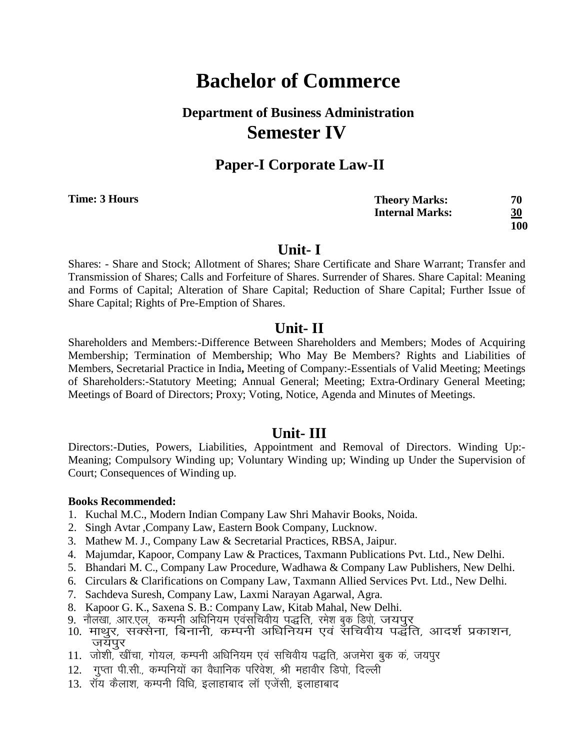# **Department of Business Administration Semester IV**

### **Paper-I Corporate Law-II**

**Time: 3 Hours**

**Theory Marks: 70 Internal Marks: 30 100**

#### **Unit- I**

Shares: - Share and Stock; Allotment of Shares; Share Certificate and Share Warrant; Transfer and Transmission of Shares; Calls and Forfeiture of Shares. Surrender of Shares. Share Capital: Meaning and Forms of Capital; Alteration of Share Capital; Reduction of Share Capital; Further Issue of Share Capital; Rights of Pre-Emption of Shares.

#### **Unit- II**

Shareholders and Members:-Difference Between Shareholders and Members; Modes of Acquiring Membership; Termination of Membership; Who May Be Members? Rights and Liabilities of Members, Secretarial Practice in India**,** Meeting of Company:-Essentials of Valid Meeting; Meetings of Shareholders:-Statutory Meeting; Annual General; Meeting; Extra-Ordinary General Meeting; Meetings of Board of Directors; Proxy; Voting, Notice, Agenda and Minutes of Meetings.

#### **Unit- III**

Directors:-Duties, Powers, Liabilities, Appointment and Removal of Directors. Winding Up:- Meaning; Compulsory Winding up; Voluntary Winding up; Winding up Under the Supervision of Court; Consequences of Winding up.

#### **Books Recommended:**

- 1. Kuchal M.C., Modern Indian Company Law Shri Mahavir Books, Noida.
- 2. Singh Avtar ,Company Law, Eastern Book Company, Lucknow.
- 3. Mathew M. J., Company Law & Secretarial Practices, RBSA, Jaipur.
- 4. Majumdar, Kapoor, Company Law & Practices, Taxmann Publications Pvt. Ltd., New Delhi.
- 5. Bhandari M. C., Company Law Procedure, Wadhawa & Company Law Publishers, New Delhi.
- 6. Circulars & Clarifications on Company Law, Taxmann Allied Services Pvt. Ltd., New Delhi.
- 7. Sachdeva Suresh, Company Law, Laxmi Narayan Agarwal, Agra.
- 8. Kapoor G. K., Saxena S. B.: Company Law, Kitab Mahal, New Delhi.
- o. Kapool S. K., Saxona S. B.: Sompany Eaw, Khao Mahai, New Bellii.<br>9. नौलखा, आर.एल्, कम्पनी अधिनियम एवंसूचिवीयू पूद्धति, रमेशु बुक्रू डिप्रो, जयपुर्
- ). "Kisi, sirk, ki, a, i li silah ati yakilaana harki, kiki gastofi, ora ye.<br>10. माथुर, सक्सेना, बिनानी, कम्पनी अधिनियम एवं सचिवीय पद्धति, आदर्श प्रकाशन, जयपुर
- 11. जोशी, खींचा, गोयल, कम्पनी अधिनियम एवं सचिवीय पद्धति, अजमेरा बुक कं, जयपुर
- 12. गुप्ता पी.सी., कम्पनियों का वैधानिक परिवेश, श्री महावीर डिपो, दिल्ली
- 13. रॉय कैलाश, कम्पनी विधि, इलाहाबाद लॉ एजेंसी, इलाहाबाद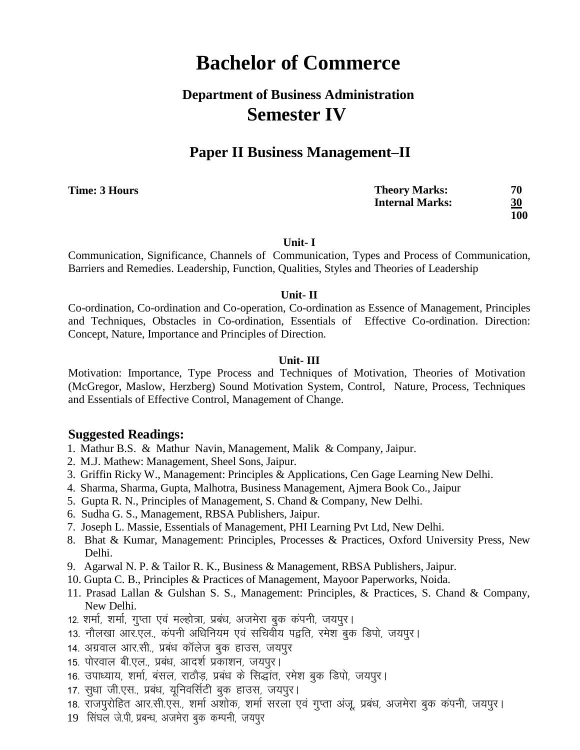# **Department of Business Administration Semester IV**

## **Paper II Business Management–II**

**Time: 3 Hours**

**Theory Marks: 70 Internal Marks: 30 100**

**Unit- I**

Communication, Significance, Channels of Communication, Types and Process of Communication, Barriers and Remedies. Leadership, Function, Qualities, Styles and Theories of Leadership

#### **Unit- II**

Co-ordination, Co-ordination and Co-operation, Co-ordination as Essence of Management, Principles and Techniques, Obstacles in Co-ordination, Essentials of Effective Co-ordination. Direction: Concept, Nature, Importance and Principles of Direction.

#### **Unit- III**

Motivation: Importance, Type Process and Techniques of Motivation, Theories of Motivation (McGregor, Maslow, Herzberg) Sound Motivation System, Control, Nature, Process, Techniques and Essentials of Effective Control, Management of Change.

- 1. Mathur B.S. & Mathur Navin, Management, Malik & Company, Jaipur.
- 2. M.J. Mathew: Management, Sheel Sons, Jaipur.
- 3. Griffin Ricky W., Management: Principles & Applications, Cen Gage Learning New Delhi.
- 4. Sharma, Sharma, Gupta, Malhotra, Business Management, Ajmera Book Co., Jaipur
- 5. Gupta R. N., Principles of Management, S. Chand & Company, New Delhi.
- 6. Sudha G. S., Management, RBSA Publishers, Jaipur.
- 7. Joseph L. Massie, Essentials of Management, PHI Learning Pvt Ltd, New Delhi.
- 8. Bhat & Kumar, Management: Principles, Processes & Practices, Oxford University Press, New Delhi.
- 9. Agarwal N. P. & Tailor R. K., Business & Management, RBSA Publishers, Jaipur.
- 10. Gupta C. B., Principles & Practices of Management, Mayoor Paperworks, Noida.
- 11. Prasad Lallan & Gulshan S. S., Management: Principles, & Practices, S. Chand & Company, New Delhi.
- 12. शर्मा, शर्मा, गुप्ता एवं मल्होत्रा, प्रबंध, अजमेरा बुक कंपनी, जयपुर।
- 13. नौलखा आर.एल., कंपनी अधिनियम एवं सचिवीय पद्वति, रमेश बुक डिपो, जयपुर।
- 14. अग्रवाल आर.सी., प्रबंध कॉलेज बुक हाउस, जयपुर
- 15. पोरवाल बी.एल., प्रबंध, आदर्श प्रकाशन, जयपुर।
- 16. उपाध्याय, शर्मा, बंसल, राठौड़, प्रबंध के सिद्धांत, रमेश बुक डिपो, जयपुर।
- 17. सुधा जी.एस., प्रबंध, यूनिवर्सिटी बुक हाउस, जयपुर।
- 18. रॉजपरोहित आर.सी.एस., शर्मा अँशोक, शर्मा सरला एवं गुप्ता अंजू, प्रबंध, अजमेरा बुक कंपनी, जयपुर।
- 19 सिंघल जे.पी. प्रबन्ध, अजमेरा बक कम्पनी, जयपुर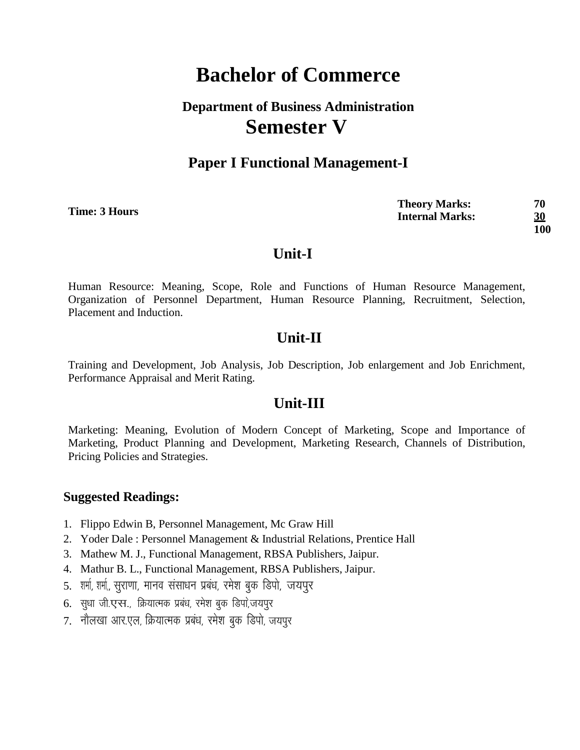# **Department of Business Administration Semester V**

### **Paper I Functional Management-I**

**Time: 3 Hours**

**Theory Marks: 70 Internal Marks: 30 100**

### **Unit-I**

Human Resource: Meaning, Scope, Role and Functions of Human Resource Management, Organization of Personnel Department, Human Resource Planning, Recruitment, Selection, Placement and Induction.

## **Unit-II**

Training and Development, Job Analysis, Job Description, Job enlargement and Job Enrichment, Performance Appraisal and Merit Rating.

## **Unit-III**

Marketing: Meaning, Evolution of Modern Concept of Marketing, Scope and Importance of Marketing, Product Planning and Development, Marketing Research, Channels of Distribution, Pricing Policies and Strategies.

- 1. Flippo Edwin B, Personnel Management, Mc Graw Hill
- 2. Yoder Dale : Personnel Management & Industrial Relations, Prentice Hall
- 3. Mathew M. J., Functional Management, RBSA Publishers, Jaipur.
- 4. Mathur B. L., Functional Management, RBSA Publishers, Jaipur.
- 5. शर्मा, शर्मा,, सुराणा, मानव संसाधन प्रबंध, रमेश बुक डिपो, जयपुर
- 6. सुधा जी.एस., क्रियात्मक प्रबंध, रमेश बुक डिपा,जयपुर
- 7. नौलखा आर.एल, क्रियात्मक प्रबंध, रमेश बुक डिपो, जयपुर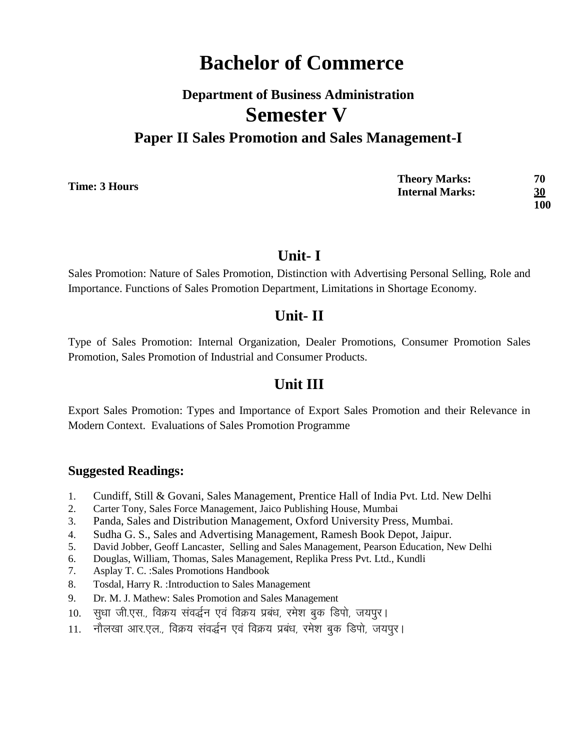# **Department of Business Administration Semester V Paper II Sales Promotion and Sales Management-I**

**Time: 3 Hours**

**Theory Marks: 70 Internal Marks: 30 100**

### **Unit- I**

Sales Promotion: Nature of Sales Promotion, Distinction with Advertising Personal Selling, Role and Importance. Functions of Sales Promotion Department, Limitations in Shortage Economy.

## **Unit- II**

Type of Sales Promotion: Internal Organization, Dealer Promotions, Consumer Promotion Sales Promotion, Sales Promotion of Industrial and Consumer Products.

# **Unit III**

Export Sales Promotion: Types and Importance of Export Sales Promotion and their Relevance in Modern Context. Evaluations of Sales Promotion Programme

- 1. Cundiff, Still & Govani, Sales Management, Prentice Hall of India Pvt. Ltd. New Delhi
- 2. Carter Tony, Sales Force Management, Jaico Publishing House, Mumbai
- 3. Panda, Sales and Distribution Management, Oxford University Press, Mumbai.
- 4. Sudha G. S., Sales and Advertising Management, Ramesh Book Depot, Jaipur.
- 5. David Jobber, Geoff Lancaster, Selling and Sales Management, Pearson Education, New Delhi
- 6. Douglas, William, Thomas, Sales Management, Replika Press Pvt. Ltd., Kundli
- 7. Asplay T. C. :Sales Promotions Handbook
- 8. Tosdal, Harry R. :Introduction to Sales Management
- 9. Dr. M. J. Mathew: Sales Promotion and Sales Management
- 10. सुधा जी.एस., विक्रय संवर्द्धन एवं विक्रय प्रबंध, रमेश बुक डिपो, जयपूर।
- 11. नौलखा आर.एल., विक्रय संवर्द्धन एवं विक्रय प्रबंध, रमेश बुक डिपो, जयपुर।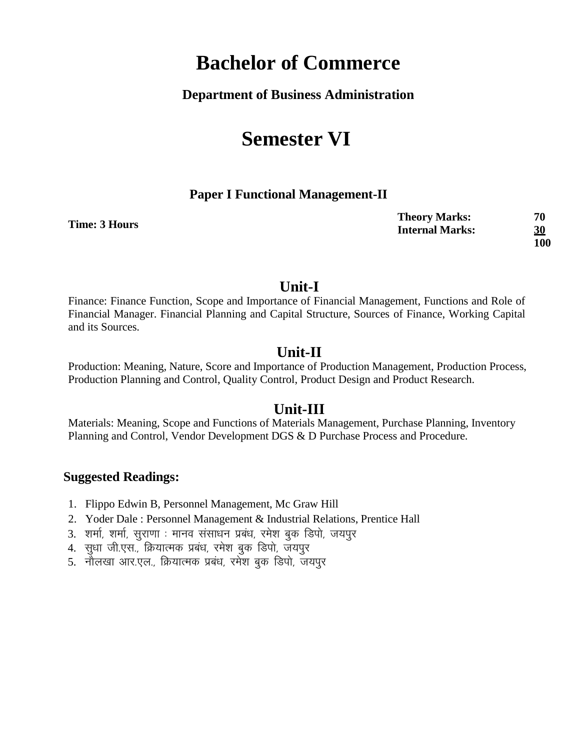#### **Department of Business Administration**

# **Semester VI**

#### **Paper I Functional Management-II**

| Time: 3 Hours | <b>Theory Marks:</b>   | 70  |
|---------------|------------------------|-----|
|               | <b>Internal Marks:</b> | 30  |
|               |                        | 100 |

### **Unit-I**

Finance: Finance Function, Scope and Importance of Financial Management, Functions and Role of Financial Manager. Financial Planning and Capital Structure, Sources of Finance, Working Capital and its Sources.

### **Unit-II**

Production: Meaning, Nature, Score and Importance of Production Management, Production Process, Production Planning and Control, Quality Control, Product Design and Product Research.

### **Unit-III**

Materials: Meaning, Scope and Functions of Materials Management, Purchase Planning, Inventory Planning and Control, Vendor Development DGS & D Purchase Process and Procedure.

- 1. Flippo Edwin B, Personnel Management, Mc Graw Hill
- 2. Yoder Dale : Personnel Management & Industrial Relations, Prentice Hall
- 3. शर्मा, शर्मा, सुराणा : मानव संसाधन प्रबंध, रमेश बुक डिपो, जयपुर
- 4. सुधा जी.एस., क्रियात्मक प्रबंध, रमेश बुक डिपो, जयपुर
- 5. नौलखा आर.एल., क्रियात्मक प्रबंध, रमेश बुक डिपो, जयपुर